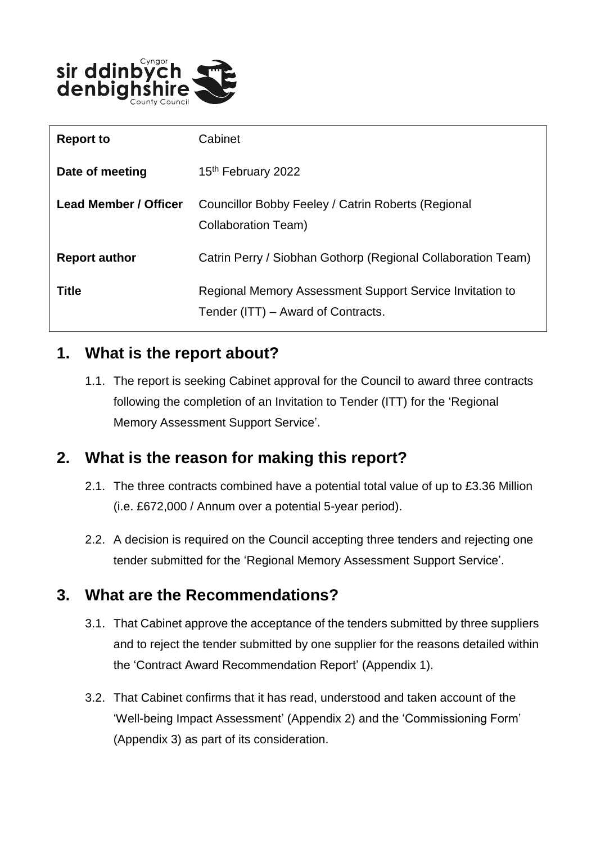

| <b>Report to</b>             | Cabinet                                                                                        |
|------------------------------|------------------------------------------------------------------------------------------------|
| Date of meeting              | 15 <sup>th</sup> February 2022                                                                 |
| <b>Lead Member / Officer</b> | Councillor Bobby Feeley / Catrin Roberts (Regional<br>Collaboration Team)                      |
| <b>Report author</b>         | Catrin Perry / Siobhan Gothorp (Regional Collaboration Team)                                   |
| <b>Title</b>                 | Regional Memory Assessment Support Service Invitation to<br>Tender (ITT) – Award of Contracts. |

## **1. What is the report about?**

1.1. The report is seeking Cabinet approval for the Council to award three contracts following the completion of an Invitation to Tender (ITT) for the 'Regional Memory Assessment Support Service'.

## **2. What is the reason for making this report?**

- 2.1. The three contracts combined have a potential total value of up to £3.36 Million (i.e. £672,000 / Annum over a potential 5-year period).
- 2.2. A decision is required on the Council accepting three tenders and rejecting one tender submitted for the 'Regional Memory Assessment Support Service'.

#### **3. What are the Recommendations?**

- 3.1. That Cabinet approve the acceptance of the tenders submitted by three suppliers and to reject the tender submitted by one supplier for the reasons detailed within the 'Contract Award Recommendation Report' (Appendix 1).
- 3.2. That Cabinet confirms that it has read, understood and taken account of the 'Well-being Impact Assessment' (Appendix 2) and the 'Commissioning Form' (Appendix 3) as part of its consideration.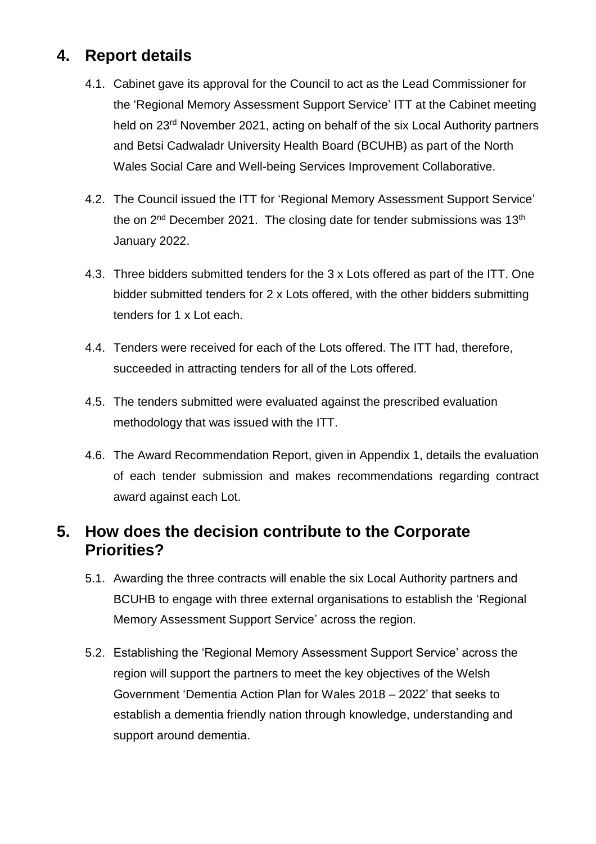# **4. Report details**

- 4.1. Cabinet gave its approval for the Council to act as the Lead Commissioner for the 'Regional Memory Assessment Support Service' ITT at the Cabinet meeting held on 23rd November 2021, acting on behalf of the six Local Authority partners and Betsi Cadwaladr University Health Board (BCUHB) as part of the North Wales Social Care and Well-being Services Improvement Collaborative.
- 4.2. The Council issued the ITT for 'Regional Memory Assessment Support Service' the on  $2^{nd}$  December 2021. The closing date for tender submissions was 13<sup>th</sup> January 2022.
- 4.3. Three bidders submitted tenders for the 3 x Lots offered as part of the ITT. One bidder submitted tenders for 2 x Lots offered, with the other bidders submitting tenders for 1 x Lot each.
- 4.4. Tenders were received for each of the Lots offered. The ITT had, therefore, succeeded in attracting tenders for all of the Lots offered.
- 4.5. The tenders submitted were evaluated against the prescribed evaluation methodology that was issued with the ITT.
- 4.6. The Award Recommendation Report, given in Appendix 1, details the evaluation of each tender submission and makes recommendations regarding contract award against each Lot.

## **5. How does the decision contribute to the Corporate Priorities?**

- 5.1. Awarding the three contracts will enable the six Local Authority partners and BCUHB to engage with three external organisations to establish the 'Regional Memory Assessment Support Service' across the region.
- 5.2. Establishing the 'Regional Memory Assessment Support Service' across the region will support the partners to meet the key objectives of the Welsh Government 'Dementia Action Plan for Wales 2018 – 2022' that seeks to establish a dementia friendly nation through knowledge, understanding and support around dementia.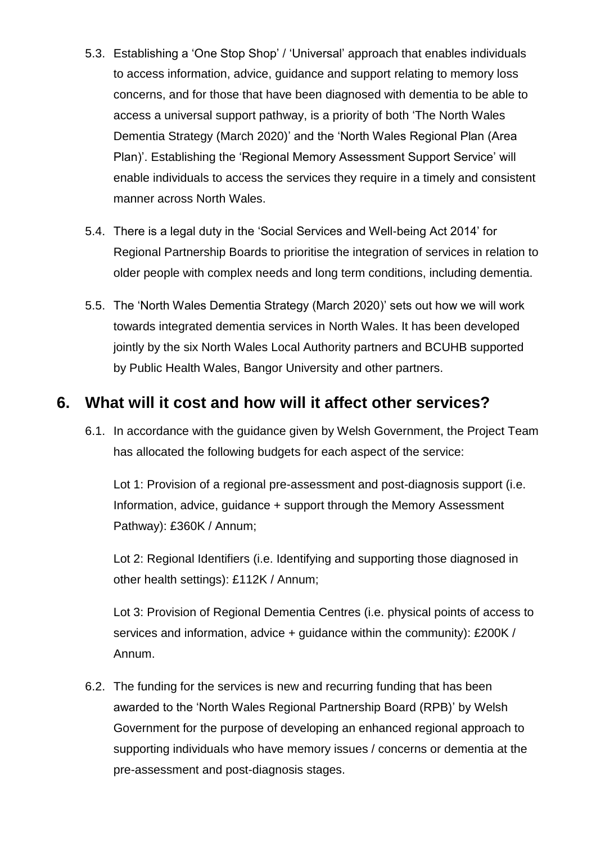- 5.3. Establishing a 'One Stop Shop' / 'Universal' approach that enables individuals to access information, advice, guidance and support relating to memory loss concerns, and for those that have been diagnosed with dementia to be able to access a universal support pathway, is a priority of both 'The North Wales Dementia Strategy (March 2020)' and the 'North Wales Regional Plan (Area Plan)'. Establishing the 'Regional Memory Assessment Support Service' will enable individuals to access the services they require in a timely and consistent manner across North Wales.
- 5.4. There is a legal duty in the 'Social Services and Well-being Act 2014' for Regional Partnership Boards to prioritise the integration of services in relation to older people with complex needs and long term conditions, including dementia.
- 5.5. The 'North Wales Dementia Strategy (March 2020)' sets out how we will work towards integrated dementia services in North Wales. It has been developed jointly by the six North Wales Local Authority partners and BCUHB supported by Public Health Wales, Bangor University and other partners.

## **6. What will it cost and how will it affect other services?**

6.1. In accordance with the guidance given by Welsh Government, the Project Team has allocated the following budgets for each aspect of the service:

Lot 1: Provision of a regional pre-assessment and post-diagnosis support (i.e. Information, advice, guidance + support through the Memory Assessment Pathway): £360K / Annum;

Lot 2: Regional Identifiers (i.e. Identifying and supporting those diagnosed in other health settings): £112K / Annum;

Lot 3: Provision of Regional Dementia Centres (i.e. physical points of access to services and information, advice + quidance within the community): £200K / Annum.

6.2. The funding for the services is new and recurring funding that has been awarded to the 'North Wales Regional Partnership Board (RPB)' by Welsh Government for the purpose of developing an enhanced regional approach to supporting individuals who have memory issues / concerns or dementia at the pre-assessment and post-diagnosis stages.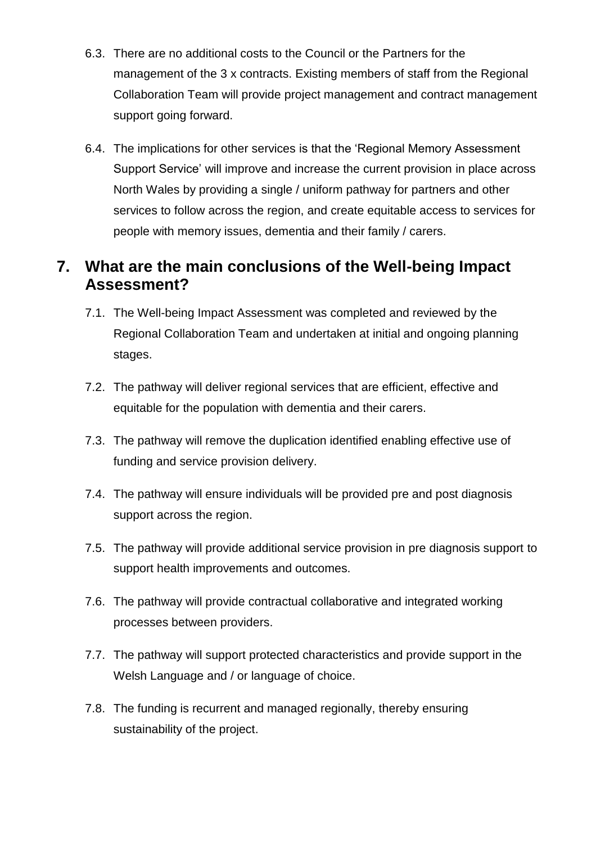- 6.3. There are no additional costs to the Council or the Partners for the management of the 3 x contracts. Existing members of staff from the Regional Collaboration Team will provide project management and contract management support going forward.
- 6.4. The implications for other services is that the 'Regional Memory Assessment Support Service' will improve and increase the current provision in place across North Wales by providing a single / uniform pathway for partners and other services to follow across the region, and create equitable access to services for people with memory issues, dementia and their family / carers.

# **7. What are the main conclusions of the Well-being Impact Assessment?**

- 7.1. The Well-being Impact Assessment was completed and reviewed by the Regional Collaboration Team and undertaken at initial and ongoing planning stages.
- 7.2. The pathway will deliver regional services that are efficient, effective and equitable for the population with dementia and their carers.
- 7.3. The pathway will remove the duplication identified enabling effective use of funding and service provision delivery.
- 7.4. The pathway will ensure individuals will be provided pre and post diagnosis support across the region.
- 7.5. The pathway will provide additional service provision in pre diagnosis support to support health improvements and outcomes.
- 7.6. The pathway will provide contractual collaborative and integrated working processes between providers.
- 7.7. The pathway will support protected characteristics and provide support in the Welsh Language and / or language of choice.
- 7.8. The funding is recurrent and managed regionally, thereby ensuring sustainability of the project.